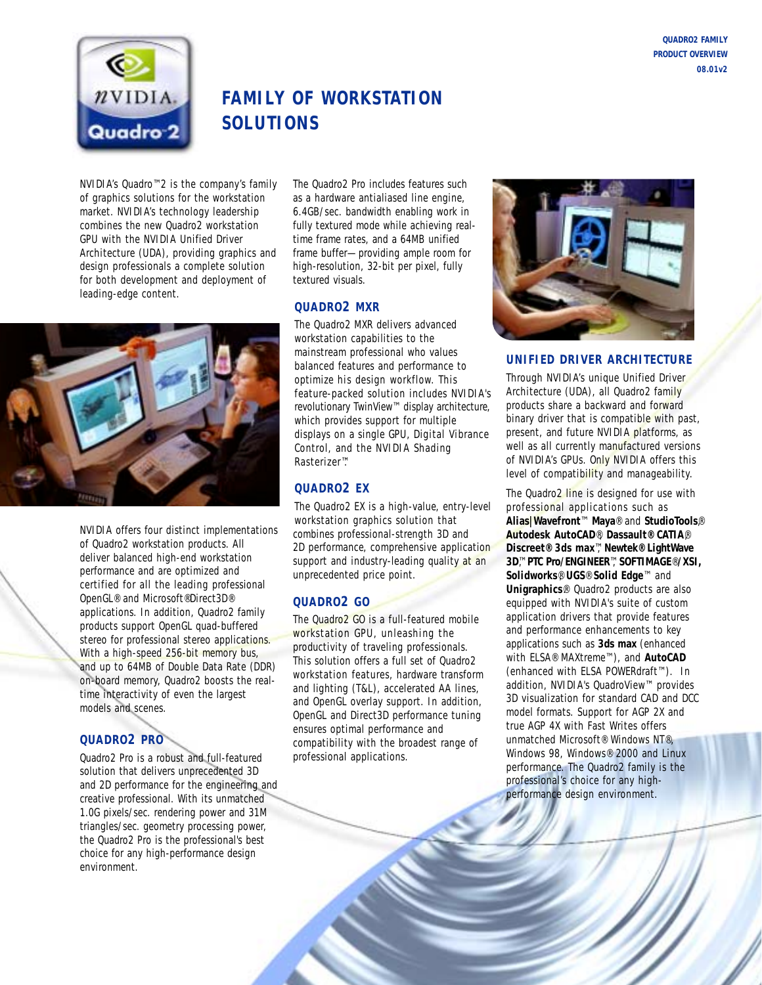

# **FAMILY OF WORKSTATION SOLUTIONS**

NVIDIA's Quadro™2 is the company's family of graphics solutions for the workstation market. NVIDIA's technology leadership combines the new Quadro2 workstation GPU with the NVIDIA Unified Driver Architecture (UDA), providing graphics and design professionals a complete solution for both development and deployment of leading-edge content.

The Quadro2 Pro includes features such as a hardware antialiased line engine, 6.4GB/sec. bandwidth enabling work in fully textured mode while achieving realtime frame rates, and a 64MB unified frame buffer—providing ample room for high-resolution, 32-bit per pixel, fully textured visuals.

### **QUADRO2 MXR**

NVIDIA offers four distinct implementations of Quadro2 workstation products. All deliver balanced high-end workstation performance and are optimized and certified for all the leading professional OpenGL® and Microsoft®Direct3D® applications. In addition, Quadro2 family products support OpenGL quad-buffered stereo for professional stereo applications. With a high-speed 256-bit memory bus, and up to 64MB of Double Data Rate (DDR) on-board memory, Quadro2 boosts the realtime interactivity of even the largest models and scenes.

## **QUADRO2 PRO**

Quadro2 Pro is a robust and full-featured solution that delivers unprecedented 3D and 2D performance for the engineering and creative professional. With its unmatched 1.0G pixels/sec. rendering power and 31M triangles/sec. geometry processing power, the Quadro2 Pro is the professional's best choice for any high-performance design environment.

The Quadro2 MXR delivers advanced workstation capabilities to the mainstream professional who values balanced features and performance to optimize his design workflow. This feature-packed solution includes NVIDIA's revolutionary TwinView™ display architecture, which provides support for multiple displays on a single GPU, Digital Vibrance Control, and the NVIDIA Shading Rasterizer™.

## **QUADRO2 EX**

The Quadro2 EX is a high-value, entry-level workstation graphics solution that combines professional-strength 3D and 2D performance, comprehensive application support and industry-leading quality at an unprecedented price point.

## **QUADRO2 GO**

The Quadro2 GO is a full-featured mobile workstation GPU, unleashing the productivity of traveling professionals. This solution offers a full set of Quadro2 workstation features, hardware transform and lighting (T&L), accelerated AA lines, and OpenGL overlay support. In addition, OpenGL and Direct3D performance tuning ensures optimal performance and compatibility with the broadest range of professional applications.



#### **UNIFIED DRIVER ARCHITECTURE**

Through NVIDIA's unique Unified Driver Architecture (UDA), all Quadro2 family products share a backward and forward binary driver that is compatible with past, present, and future NVIDIA platforms, as well as all currently manufactured versions of NVIDIA's GPUs. Only NVIDIA offers this level of compatibility and manageability.

The Quadro2 line is designed for use with professional applications such as **Alias|Wavefront**™ **Maya**® and **StudioTools**,® **Autodesk AutoCAD**®, **Dassault® CATIA**®, **Discreet® 3ds max**™, **Newtek® LightWave 3D**™, **PTC Pro/ENGINEER**™, **SOFTIMAGE**®**/XSI, Solidworks**®, **UGS**® **Solid Edge**™ and **Unigraphics**®. Quadro2 products are also equipped with NVIDIA's suite of custom application drivers that provide features and performance enhancements to key applications such as **3ds max** (enhanced with ELSA® MAXtreme™), and **AutoCAD** (enhanced with ELSA POWERdraft™). In addition, NVIDIA's QuadroView™ provides 3D visualization for standard CAD and DCC model formats. Support for AGP 2X and true AGP 4X with Fast Writes offers unmatched Microsoft® Windows NT®, Windows 98, Windows® 2000 and Linux performance. The Quadro2 family is the professional's choice for any highperformance design environment.